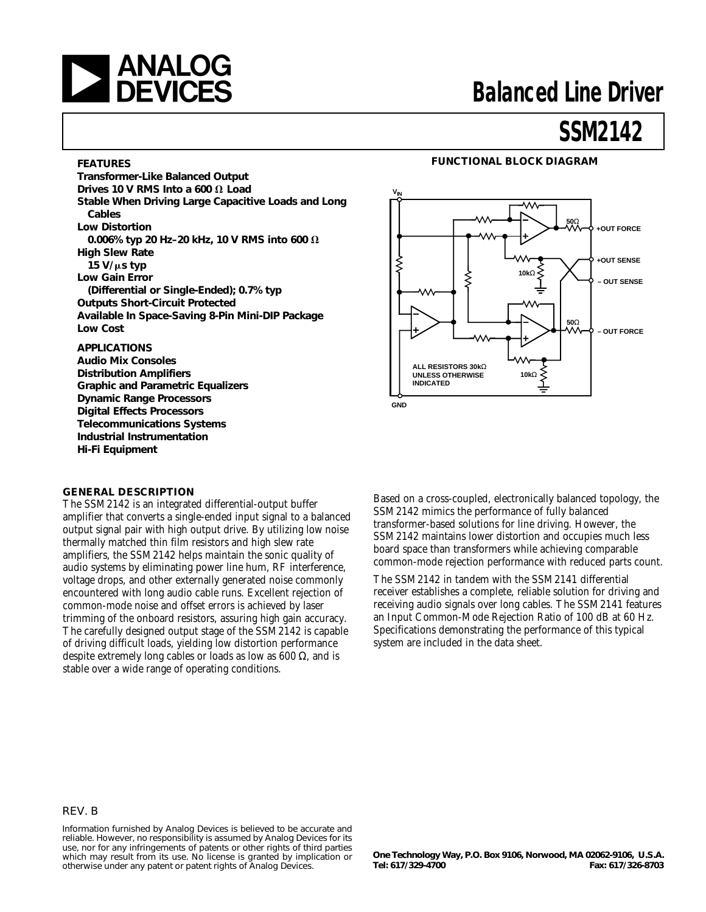

### **FEATURES**

**Transformer-Like Balanced Output** Drives 10 V RMS Into a 600  $\Omega$  Load **Stable When Driving Large Capacitive Loads and Long Cables Low Distortion 0.006% typ 20 Hz-20 kHz, 10 V RMS into 600 Ω High Slew Rate 15 V/**m**s typ Low Gain Error (Differential or Single-Ended); 0.7% typ Outputs Short-Circuit Protected Available In Space-Saving 8-Pin Mini-DIP Package Low Cost**

### **APPLICATIONS**

**Audio Mix Consoles Distribution Amplifiers Graphic and Parametric Equalizers Dynamic Range Processors Digital Effects Processors Telecommunications Systems Industrial Instrumentation Hi-Fi Equipment**

### **VIN** W٨ **50**Ω **+OUT FORCE +OUT SENSE 10k**Ω **– OUT SENSE 50**Ω **– OUT FORCE ALL RESISTORS 30k**Ω **UNLESS OTHERWISE 10k**Ω **INDICATED GND**

**FUNCTIONAL BLOCK DIAGRAM**

#### **GENERAL DESCRIPTION**

The SSM2142 is an integrated differential-output buffer amplifier that converts a single-ended input signal to a balanced output signal pair with high output drive. By utilizing low noise thermally matched thin film resistors and high slew rate amplifiers, the SSM2142 helps maintain the sonic quality of audio systems by eliminating power line hum, RF interference, voltage drops, and other externally generated noise commonly encountered with long audio cable runs. Excellent rejection of common-mode noise and offset errors is achieved by laser trimming of the onboard resistors, assuring high gain accuracy. The carefully designed output stage of the SSM2142 is capable of driving difficult loads, yielding low distortion performance despite extremely long cables or loads as low as 600  $\Omega$ , and is stable over a wide range of operating conditions.

Based on a cross-coupled, electronically balanced topology, the SSM2142 mimics the performance of fully balanced transformer-based solutions for line driving. However, the SSM2142 maintains lower distortion and occupies much less board space than transformers while achieving comparable common-mode rejection performance with reduced parts count.

The SSM2142 in tandem with the SSM2141 differential receiver establishes a complete, reliable solution for driving and receiving audio signals over long cables. The SSM2141 features an Input Common-Mode Rejection Ratio of 100 dB at 60 Hz. Specifications demonstrating the performance of this typical system are included in the data sheet.

### REV. B

Information furnished by Analog Devices is believed to be accurate and reliable. However, no responsibility is assumed by Analog Devices for its use, nor for any infringements of patents or other rights of third parties which may result from its use. No license is granted by implication or otherwise under any patent or patent rights of Analog Devices.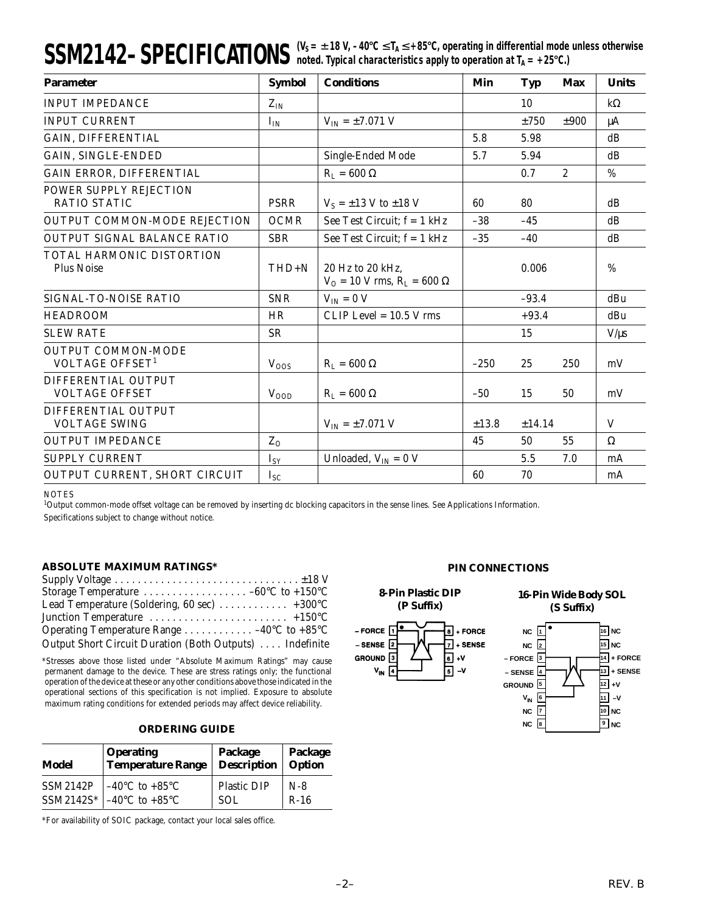### $SSM2142-SPECIFICATIONS$  ( $V_S = ±18 V, -40°C ≤ T_A ≤ +85°C,$  operating in differential mode unless otherwise noted. Typical characteristics apply to operation at T<sub>A</sub> = +25°C.)

| <b>Parameter</b>                                         | <b>Symbol</b> | <b>Conditions</b>                                            | Min    | <b>Typ</b> | Max            | <b>Units</b> |
|----------------------------------------------------------|---------------|--------------------------------------------------------------|--------|------------|----------------|--------------|
| <b>INPUT IMPEDANCE</b>                                   | $Z_{IN}$      |                                                              |        | 10         |                | $k\Omega$    |
| <b>INPUT CURRENT</b>                                     | $I_{IN}$      | $V_{IN} = \pm 7.071 V$                                       |        | ±750       | ±900           | μA           |
| GAIN, DIFFERENTIAL                                       |               |                                                              | 5.8    | 5.98       |                | dB           |
| <b>GAIN, SINGLE-ENDED</b>                                |               | Single-Ended Mode                                            | 5.7    | 5.94       |                | dB           |
| GAIN ERROR, DIFFERENTIAL                                 |               | $R_L = 600 \Omega$                                           |        | 0.7        | $\overline{2}$ | $\%$         |
| POWER SUPPLY REJECTION<br><b>RATIO STATIC</b>            | <b>PSRR</b>   | $V_S = \pm 13$ V to $\pm 18$ V                               | 60     | 80         |                | dB           |
| OUTPUT COMMON-MODE REJECTION                             | <b>OCMR</b>   | See Test Circuit; $f = 1$ kHz                                | $-38$  | $-45$      |                | dB           |
| OUTPUT SIGNAL BALANCE RATIO                              | <b>SBR</b>    | See Test Circuit; $f = 1$ kHz                                | $-35$  | $-40$      |                | dB           |
| TOTAL HARMONIC DISTORTION<br><b>Plus Noise</b>           | THD+N         | 20 Hz to 20 kHz,<br>$V_{O} = 10$ V rms, $R_{L} = 600 \Omega$ |        | 0.006      |                | $\%$         |
| SIGNAL-TO-NOISE RATIO                                    | <b>SNR</b>    | $V_{IN} = 0 V$                                               |        | $-93.4$    |                | dBu          |
| <b>HEADROOM</b>                                          | HR            | $CLIP Level = 10.5 V rms$                                    |        | $+93.4$    |                | dBu          |
| <b>SLEW RATE</b>                                         | <b>SR</b>     |                                                              |        | 15         |                | $V/\mu s$    |
| <b>OUTPUT COMMON-MODE</b><br>VOLTAGE OFFSET <sup>1</sup> | $V_{OOS}$     | $R_L = 600 \Omega$                                           | $-250$ | 25         | 250            | mV           |
| DIFFERENTIAL OUTPUT<br><b>VOLTAGE OFFSET</b>             | $V_{OOD}$     | $R_{L} = 600 \Omega$                                         | $-50$  | 15         | 50             | mV           |
| DIFFERENTIAL OUTPUT<br><b>VOLTAGE SWING</b>              |               | $V_{IN} = \pm 7.071 V$                                       | ±13.8  | ±14.14     |                | V            |
| <b>OUTPUT IMPEDANCE</b>                                  | $Z_0$         |                                                              | 45     | 50         | 55             | $\Omega$     |
| <b>SUPPLY CURRENT</b>                                    | $I_{SY}$      | Unloaded, $V_{IN} = 0 V$                                     |        | 5.5        | 7.0            | mA           |
| OUTPUT CURRENT, SHORT CIRCUIT                            | $I_{SC}$      |                                                              | 60     | 70         |                | mA           |

#### **NOTES**

1 Output common-mode offset voltage can be removed by inserting dc blocking capacitors in the sense lines. See Applications Information. Specifications subject to change without notice.

### **ABSOLUTE MAXIMUM RATINGS\***

| Lead Temperature (Soldering, 60 sec) $\dots \dots \dots \dots +300^{\circ}C$          |  |
|---------------------------------------------------------------------------------------|--|
| Junction Temperature $\dots \dots \dots \dots \dots \dots \dots \dots + 150^{\circ}C$ |  |
| Operating Temperature Range 40 $\rm ^{\circ}C$ to +85 $\rm ^{\circ}C$                 |  |
| Output Short Circuit Duration (Both Outputs)  Indefinite                              |  |

\*Stresses above those listed under "Absolute Maximum Ratings" may cause permanent damage to the device. These are stress ratings only; the functional operation of the device at these or any other conditions above those indicated in the operational sections of this specification is not implied. Exposure to absolute maximum rating conditions for extended periods may affect device reliability.

### **ORDERING GUIDE**

| <b>Operating</b><br><b>Temperature Range</b><br>Model |                                              | Package<br><b>Description</b> | Package<br>Option |  |
|-------------------------------------------------------|----------------------------------------------|-------------------------------|-------------------|--|
| <b>SSM2142P</b>                                       | $-40^{\circ}$ C to $+85^{\circ}$ C           | <b>Plastic DIP</b>            | $N-8$             |  |
|                                                       | SSM2142S* $-40^{\circ}$ C to $+85^{\circ}$ C | <b>SOL</b>                    | $R-16$            |  |

\*For availability of SOIC package, contact your local sales office.

#### **PIN CONNECTIONS**

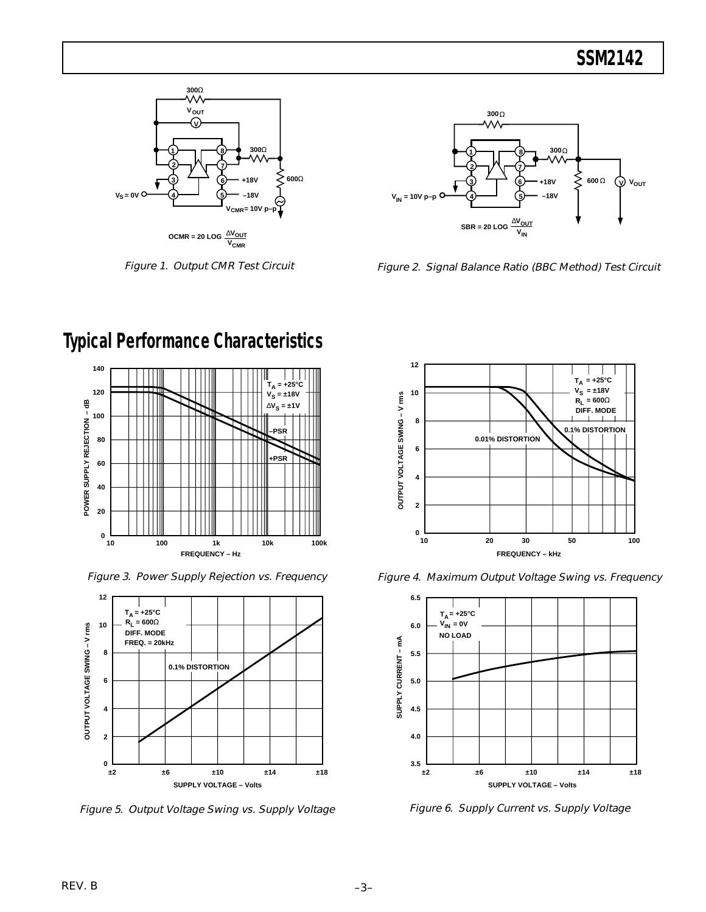

Figure 1. Output CMR Test Circuit



Figure 2. Signal Balance Ratio (BBC Method) Test Circuit



Figure 3. Power Supply Rejection vs. Frequency



Figure 5. Output Voltage Swing vs. Supply Voltage



Figure 4. Maximum Output Voltage Swing vs. Frequency



Figure 6. Supply Current vs. Supply Voltage

# **Typical Performance Characteristics**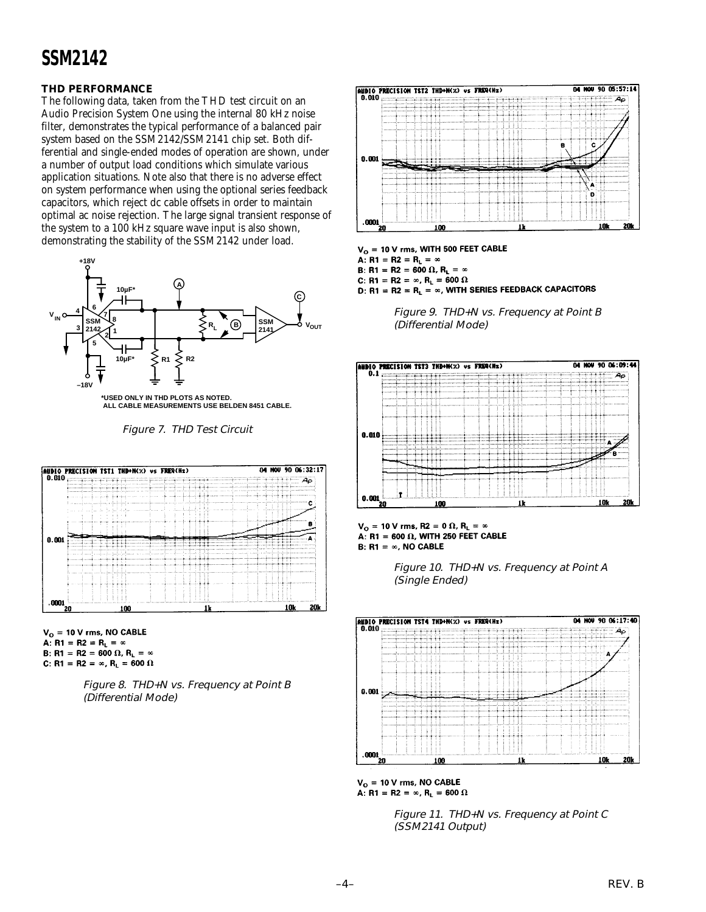### **THD PERFORMANCE**

The following data, taken from the THD test circuit on an Audio Precision System One using the internal 80 kHz noise filter, demonstrates the typical performance of a balanced pair system based on the SSM2142/SSM2141 chip set. Both differential and single-ended modes of operation are shown, under a number of output load conditions which simulate various application situations. Note also that there is no adverse effect on system performance when using the optional series feedback capacitors, which reject dc cable offsets in order to maintain optimal ac noise rejection. The large signal transient response of the system to a 100 kHz square wave input is also shown, demonstrating the stability of the SSM2142 under load.



Figure 7. THD Test Circuit



 $V_{O}$  = 10 V rms, NO CABLE A: R1 = R2 =  $R_L = \infty$ B: R1 = R2 = 600  $\Omega$ , R<sub>L</sub> =  $\infty$ C: R1 = R2 =  $\infty$ , R<sub>L</sub> = 600  $\Omega$ 





 $V_O = 10 V$  rms, WITH 500 FEET CABLE A: R1 = R2 =  $R_L$  =  $\infty$ B: R1 = R2 = 600  $\Omega$ , R<sub>L</sub> =  $\infty$ C: R1 = R2 =  $\infty$ , R<sub>L</sub> = 600  $\Omega$ D: R1 = R2 = R<sub>L</sub> =  $\infty$ , WITH SERIES FEEDBACK CAPACITORS







Figure 10. THD+N vs. Frequency at Point A (Single Ended)



 $V_{O} = 10$  V rms, NO CABLE A: R1 = R2 =  $\infty$ , R<sub>L</sub> = 600  $\Omega$ 

Figure 11. THD+N vs. Frequency at Point C (SSM2141 Output)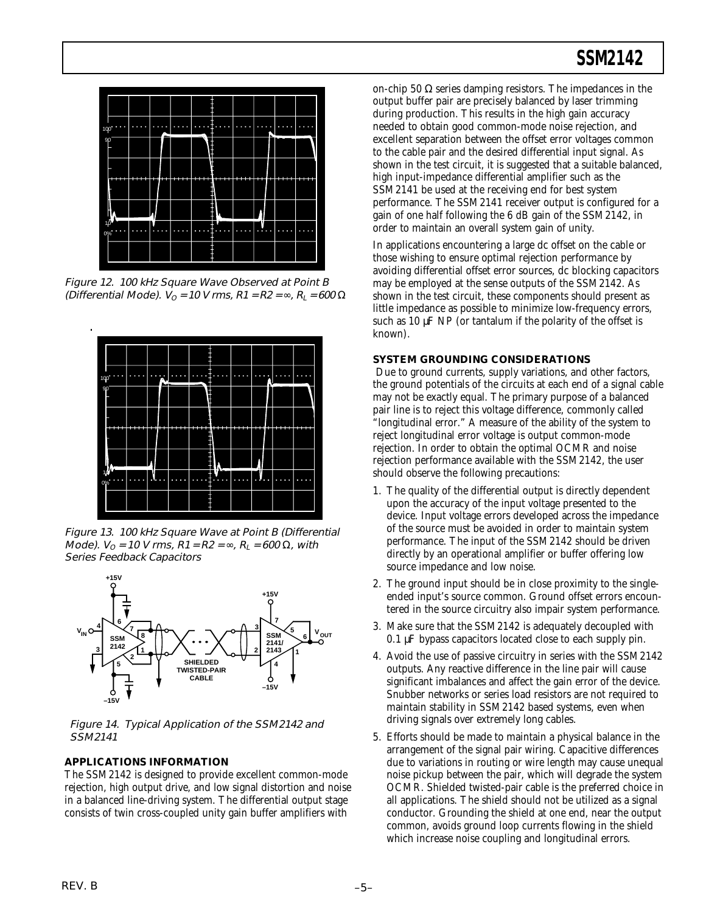

Figure 12. 100 kHz Square Wave Observed at Point B (Differential Mode).  $V_{\Omega}$  = 10 V rms, R1 = R2 =  $\infty$ , R<sub>L</sub> = 600  $\Omega$ 



Figure 13. 100 kHz Square Wave at Point B (Differential *Mode).*  $V_0 = 10$  *V rms, R1* = *R2* = ∞, *R<sub>L</sub>* = 600 Ω, with Series Feedback Capacitors



Figure 14. Typical Application of the SSM2142 and SSM2141

### **APPLICATIONS INFORMATION**

The SSM2142 is designed to provide excellent common-mode rejection, high output drive, and low signal distortion and noise in a balanced line-driving system. The differential output stage consists of twin cross-coupled unity gain buffer amplifiers with

on-chip 50  $\Omega$  series damping resistors. The impedances in the output buffer pair are precisely balanced by laser trimming during production. This results in the high gain accuracy needed to obtain good common-mode noise rejection, and excellent separation between the offset error voltages common to the cable pair and the desired differential input signal. As shown in the test circuit, it is suggested that a suitable balanced, high input-impedance differential amplifier such as the SSM2141 be used at the receiving end for best system performance. The SSM2141 receiver output is configured for a gain of one half following the 6 dB gain of the SSM2142, in order to maintain an overall system gain of unity.

In applications encountering a large dc offset on the cable or those wishing to ensure optimal rejection performance by avoiding differential offset error sources, dc blocking capacitors may be employed at the sense outputs of the SSM2142. As shown in the test circuit, these components should present as little impedance as possible to minimize low-frequency errors, such as  $10 \mu$ F NP (or tantalum if the polarity of the offset is known).

#### **SYSTEM GROUNDING CONSIDERATIONS**

Due to ground currents, supply variations, and other factors, the ground potentials of the circuits at each end of a signal cable may not be exactly equal. The primary purpose of a balanced pair line is to reject this voltage difference, commonly called "longitudinal error." A measure of the ability of the system to reject longitudinal error voltage is output common-mode rejection. In order to obtain the optimal OCMR and noise rejection performance available with the SSM2142, the user should observe the following precautions:

- 1. The quality of the differential output is directly dependent upon the accuracy of the input voltage presented to the device. Input voltage errors developed across the impedance of the source must be avoided in order to maintain system performance. The input of the SSM2142 should be driven directly by an operational amplifier or buffer offering low source impedance and low noise.
- 2. The ground input should be in close proximity to the singleended input's source common. Ground offset errors encountered in the source circuitry also impair system performance.
- 3. Make sure that the SSM2142 is adequately decoupled with 0.1 µF bypass capacitors located close to each supply pin.
- 4. Avoid the use of passive circuitry in series with the SSM2142 outputs. Any reactive difference in the line pair will cause significant imbalances and affect the gain error of the device. Snubber networks or series load resistors are not required to maintain stability in SSM2142 based systems, even when driving signals over extremely long cables.
- 5. Efforts should be made to maintain a physical balance in the arrangement of the signal pair wiring. Capacitive differences due to variations in routing or wire length may cause unequal noise pickup between the pair, which will degrade the system OCMR. Shielded twisted-pair cable is the preferred choice in all applications. The shield should not be utilized as a signal conductor. Grounding the shield at one end, near the output common, avoids ground loop currents flowing in the shield which increase noise coupling and longitudinal errors.